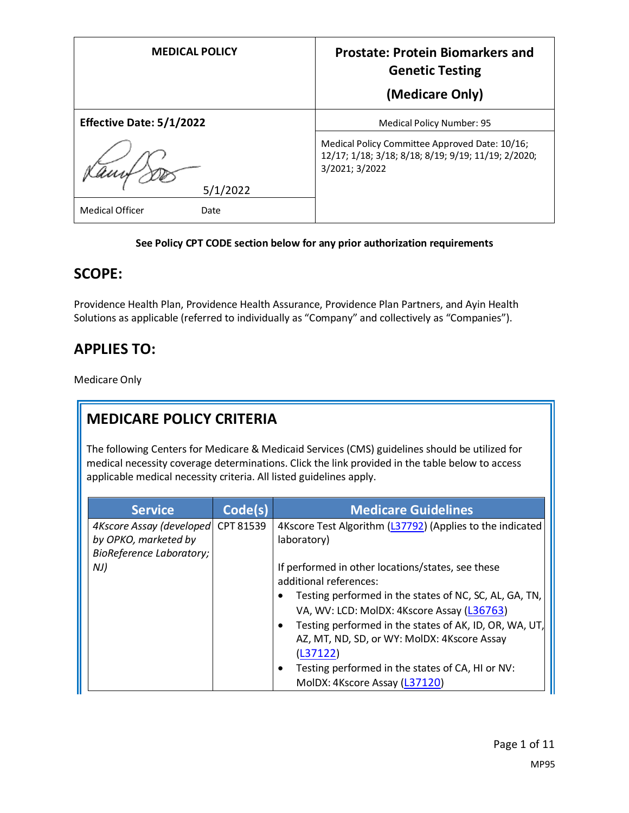| <b>MEDICAL POLICY</b>           | <b>Prostate: Protein Biomarkers and</b><br><b>Genetic Testing</b><br>(Medicare Only)                                    |
|---------------------------------|-------------------------------------------------------------------------------------------------------------------------|
| <b>Effective Date: 5/1/2022</b> | Medical Policy Number: 95                                                                                               |
| 5/1/2022                        | Medical Policy Committee Approved Date: 10/16;<br>12/17; 1/18; 3/18; 8/18; 8/19; 9/19; 11/19; 2/2020;<br>3/2021; 3/2022 |
| Medical Officer<br>Date         |                                                                                                                         |

### **See Policy CPT CODE section below for any prior authorization requirements**

## **SCOPE:**

Providence Health Plan, Providence Health Assurance, Providence Plan Partners, and Ayin Health Solutions as applicable (referred to individually as "Company" and collectively as "Companies").

# **APPLIES TO:**

Medicare Only

# **MEDICARE POLICY CRITERIA**

The following Centers for Medicare & Medicaid Services (CMS) guidelines should be utilized for medical necessity coverage determinations. Click the link provided in the table below to access applicable medical necessity criteria. All listed guidelines apply.

| <b>Service</b>                     | Code(s) | <b>Medicare Guidelines</b>                                          |
|------------------------------------|---------|---------------------------------------------------------------------|
| 4Kscore Assay (developed CPT 81539 |         | 4Kscore Test Algorithm (L37792) (Applies to the indicated           |
| by OPKO, marketed by               |         | laboratory)                                                         |
| <b>BioReference Laboratory;</b>    |         |                                                                     |
| NJ)                                |         | If performed in other locations/states, see these                   |
|                                    |         | additional references:                                              |
|                                    |         | Testing performed in the states of NC, SC, AL, GA, TN,<br>٠         |
|                                    |         | VA, WV: LCD: MolDX: 4Kscore Assay (L36763)                          |
|                                    |         | Testing performed in the states of AK, ID, OR, WA, UT,<br>$\bullet$ |
|                                    |         | AZ, MT, ND, SD, or WY: MolDX: 4Kscore Assay                         |
|                                    |         | (L37122)                                                            |
|                                    |         | Testing performed in the states of CA, HI or NV:<br>$\bullet$       |
|                                    |         | MolDX: 4Kscore Assay (L37120)                                       |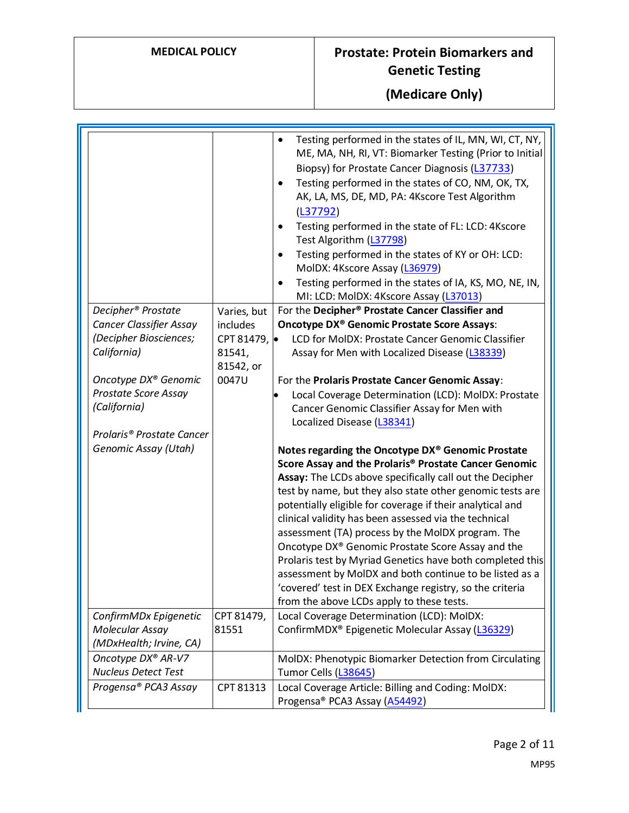**(Medicare Only)**

|                                       |                     | Testing performed in the states of IL, MN, WI, CT, NY,<br>ME, MA, NH, RI, VT: Biomarker Testing (Prior to Initial<br>Biopsy) for Prostate Cancer Diagnosis (L37733)<br>Testing performed in the states of CO, NM, OK, TX,<br>٠<br>AK, LA, MS, DE, MD, PA: 4Kscore Test Algorithm<br>(L37792)<br>Testing performed in the state of FL: LCD: 4Kscore<br>٠<br>Test Algorithm (L37798)<br>Testing performed in the states of KY or OH: LCD:<br>٠                                                                                                                                                                                                                                                         |
|---------------------------------------|---------------------|------------------------------------------------------------------------------------------------------------------------------------------------------------------------------------------------------------------------------------------------------------------------------------------------------------------------------------------------------------------------------------------------------------------------------------------------------------------------------------------------------------------------------------------------------------------------------------------------------------------------------------------------------------------------------------------------------|
|                                       |                     | MolDX: 4Kscore Assay (L36979)<br>Testing performed in the states of IA, KS, MO, NE, IN,<br>٠                                                                                                                                                                                                                                                                                                                                                                                                                                                                                                                                                                                                         |
|                                       |                     | MI: LCD: MolDX: 4Kscore Assay (L37013)                                                                                                                                                                                                                                                                                                                                                                                                                                                                                                                                                                                                                                                               |
| Decipher <sup>®</sup> Prostate        | Varies, but         | For the Decipher <sup>®</sup> Prostate Cancer Classifier and                                                                                                                                                                                                                                                                                                                                                                                                                                                                                                                                                                                                                                         |
| Cancer Classifier Assay               | includes            | <b>Oncotype DX<sup>®</sup> Genomic Prostate Score Assays:</b>                                                                                                                                                                                                                                                                                                                                                                                                                                                                                                                                                                                                                                        |
| (Decipher Biosciences;                | CPT 81479, ·        | LCD for MolDX: Prostate Cancer Genomic Classifier                                                                                                                                                                                                                                                                                                                                                                                                                                                                                                                                                                                                                                                    |
| California)                           | 81541,<br>81542, or | Assay for Men with Localized Disease (L38339)                                                                                                                                                                                                                                                                                                                                                                                                                                                                                                                                                                                                                                                        |
| Oncotype DX® Genomic                  | 0047U               | For the Prolaris Prostate Cancer Genomic Assay:                                                                                                                                                                                                                                                                                                                                                                                                                                                                                                                                                                                                                                                      |
| Prostate Score Assay                  |                     | Local Coverage Determination (LCD): MolDX: Prostate<br>$\bullet$                                                                                                                                                                                                                                                                                                                                                                                                                                                                                                                                                                                                                                     |
| (California)                          |                     | Cancer Genomic Classifier Assay for Men with                                                                                                                                                                                                                                                                                                                                                                                                                                                                                                                                                                                                                                                         |
|                                       |                     | Localized Disease (L38341)                                                                                                                                                                                                                                                                                                                                                                                                                                                                                                                                                                                                                                                                           |
| Prolaris <sup>®</sup> Prostate Cancer |                     |                                                                                                                                                                                                                                                                                                                                                                                                                                                                                                                                                                                                                                                                                                      |
| Genomic Assay (Utah)                  |                     | Notes regarding the Oncotype DX® Genomic Prostate<br>Score Assay and the Prolaris® Prostate Cancer Genomic<br>Assay: The LCDs above specifically call out the Decipher<br>test by name, but they also state other genomic tests are<br>potentially eligible for coverage if their analytical and<br>clinical validity has been assessed via the technical<br>assessment (TA) process by the MolDX program. The<br>Oncotype DX® Genomic Prostate Score Assay and the<br>Prolaris test by Myriad Genetics have both completed this<br>assessment by MoIDX and both continue to be listed as a<br>'covered' test in DEX Exchange registry, so the criteria<br>from the above LCDs apply to these tests. |
| ConfirmMDx Epigenetic                 | CPT 81479,          | Local Coverage Determination (LCD): MoIDX:                                                                                                                                                                                                                                                                                                                                                                                                                                                                                                                                                                                                                                                           |
| Molecular Assay                       | 81551               | ConfirmMDX <sup>®</sup> Epigenetic Molecular Assay (L36329)                                                                                                                                                                                                                                                                                                                                                                                                                                                                                                                                                                                                                                          |
| (MDxHealth; Irvine, CA)               |                     |                                                                                                                                                                                                                                                                                                                                                                                                                                                                                                                                                                                                                                                                                                      |
| Oncotype DX® AR-V7                    |                     | MolDX: Phenotypic Biomarker Detection from Circulating                                                                                                                                                                                                                                                                                                                                                                                                                                                                                                                                                                                                                                               |
| <b>Nucleus Detect Test</b>            |                     | Tumor Cells (L38645)                                                                                                                                                                                                                                                                                                                                                                                                                                                                                                                                                                                                                                                                                 |
| Progensa® PCA3 Assay                  | CPT 81313           | Local Coverage Article: Billing and Coding: MolDX:<br>Progensa® PCA3 Assay (A54492)                                                                                                                                                                                                                                                                                                                                                                                                                                                                                                                                                                                                                  |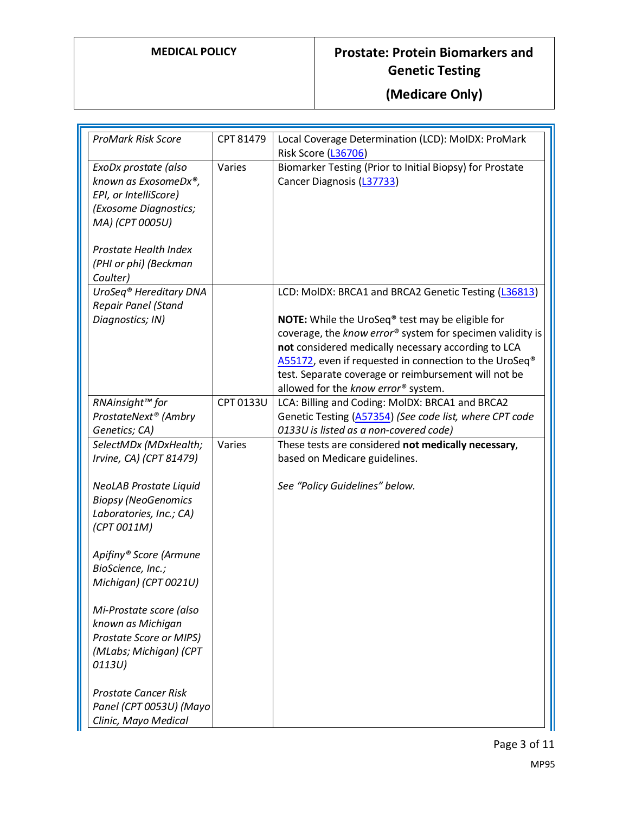**(Medicare Only)**

| <b>ProMark Risk Score</b>                                                                                                                                                       | CPT 81479 | Local Coverage Determination (LCD): MoIDX: ProMark<br>Risk Score (L36706)                                                                                                                                                                                                                                                                                                                                            |
|---------------------------------------------------------------------------------------------------------------------------------------------------------------------------------|-----------|----------------------------------------------------------------------------------------------------------------------------------------------------------------------------------------------------------------------------------------------------------------------------------------------------------------------------------------------------------------------------------------------------------------------|
| ExoDx prostate (also<br>known as ExosomeDx®,<br>EPI, or IntelliScore)<br>(Exosome Diagnostics;<br>MA) (CPT 0005U)<br>Prostate Health Index<br>(PHI or phi) (Beckman<br>Coulter) | Varies    | Biomarker Testing (Prior to Initial Biopsy) for Prostate<br>Cancer Diagnosis (L37733)                                                                                                                                                                                                                                                                                                                                |
| UroSeq® Hereditary DNA<br><b>Repair Panel (Stand</b><br>Diagnostics; IN)                                                                                                        |           | LCD: MoIDX: BRCA1 and BRCA2 Genetic Testing (L36813)<br><b>NOTE:</b> While the UroSeq <sup>®</sup> test may be eligible for<br>coverage, the know error® system for specimen validity is<br>not considered medically necessary according to LCA<br>A55172, even if requested in connection to the UroSeq <sup>®</sup><br>test. Separate coverage or reimbursement will not be<br>allowed for the know error® system. |
| RNAinsight™ for<br>ProstateNext <sup>®</sup> (Ambry                                                                                                                             | CPT 0133U | LCA: Billing and Coding: MolDX: BRCA1 and BRCA2<br>Genetic Testing (A57354) (See code list, where CPT code                                                                                                                                                                                                                                                                                                           |
| Genetics; CA)                                                                                                                                                                   |           | 0133U is listed as a non-covered code)                                                                                                                                                                                                                                                                                                                                                                               |
| SelectMDx (MDxHealth;<br>Irvine, CA) (CPT 81479)                                                                                                                                | Varies    | These tests are considered not medically necessary,<br>based on Medicare guidelines.                                                                                                                                                                                                                                                                                                                                 |
| <b>NeoLAB Prostate Liquid</b><br><b>Biopsy (NeoGenomics</b><br>Laboratories, Inc.; CA)<br>(CPT 0011M)                                                                           |           | See "Policy Guidelines" below.                                                                                                                                                                                                                                                                                                                                                                                       |
| Apifiny® Score (Armune<br>BioScience, Inc.;<br>Michigan) (CPT 0021U)                                                                                                            |           |                                                                                                                                                                                                                                                                                                                                                                                                                      |
| Mi-Prostate score (also<br>known as Michigan<br>Prostate Score or MIPS)<br>(MLabs; Michigan) (CPT<br>0113U)                                                                     |           |                                                                                                                                                                                                                                                                                                                                                                                                                      |
| <b>Prostate Cancer Risk</b><br>Panel (CPT 0053U) (Mayo<br>Clinic, Mayo Medical                                                                                                  |           |                                                                                                                                                                                                                                                                                                                                                                                                                      |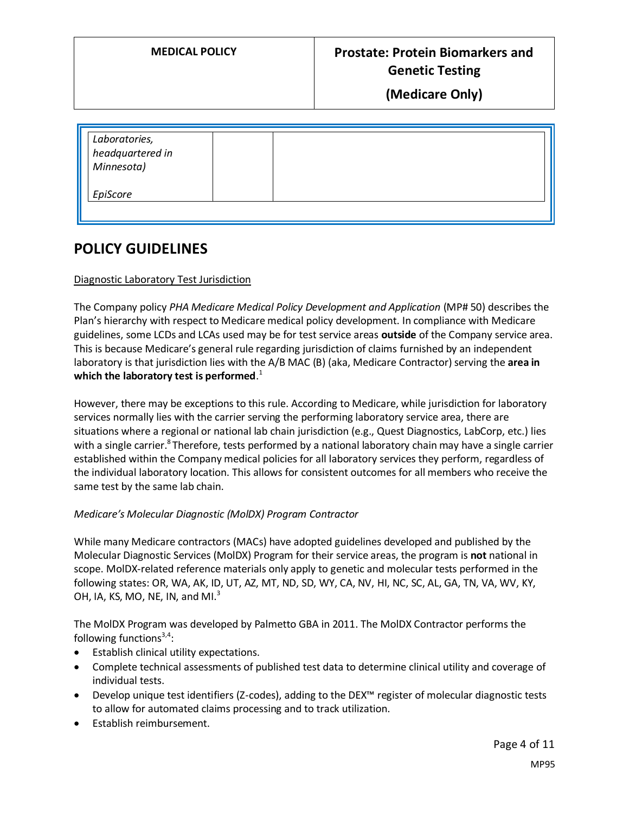| Laboratories,<br>headquartered in<br>Minnesota) |  |
|-------------------------------------------------|--|
| EpiScore                                        |  |

## **POLICY GUIDELINES**

#### Diagnostic Laboratory Test Jurisdiction

The Company policy *PHA Medicare Medical Policy Development and Application* (MP# 50) describes the Plan's hierarchy with respect to Medicare medical policy development. In compliance with Medicare guidelines, some LCDs and LCAs used may be for test service areas **outside** of the Company service area. This is because Medicare's general rule regarding jurisdiction of claims furnished by an independent laboratory is that jurisdiction lies with the A/B MAC (B) (aka, Medicare Contractor) serving the **area in which the laboratory test is performed**. 1

However, there may be exceptions to this rule. According to Medicare, while jurisdiction for laboratory services normally lies with the carrier serving the performing laboratory service area, there are situations where a regional or national lab chain jurisdiction (e.g., Quest Diagnostics, LabCorp, etc.) lies with a single carrier.<sup>8</sup> Therefore, tests performed by a national laboratory chain may have a single carrier established within the Company medical policies for all laboratory services they perform, regardless of the individual laboratory location. This allows for consistent outcomes for all members who receive the same test by the same lab chain.

#### *Medicare's Molecular Diagnostic (MolDX) Program Contractor*

While many Medicare contractors (MACs) have adopted guidelines developed and published by the Molecular Diagnostic Services (MolDX) Program for their service areas, the program is **not** national in scope. MolDX-related reference materials only apply to genetic and molecular tests performed in the following states: OR, WA, AK, ID, UT, AZ, MT, ND, SD, WY, CA, NV, HI, NC, SC, AL, GA, TN, VA, WV, KY, OH, IA, KS, MO, NE, IN, and MI. $^3$ 

The MolDX Program was developed by Palmetto GBA in 2011. The MolDX Contractor performs the following functions $3,4$ :

- Establish clinical utility expectations.
- Complete technical assessments of published test data to determine clinical utility and coverage of individual tests.
- Develop unique test identifiers (Z-codes), adding to the DEX™ register of molecular diagnostic tests to allow for automated claims processing and to track utilization.
- Establish reimbursement.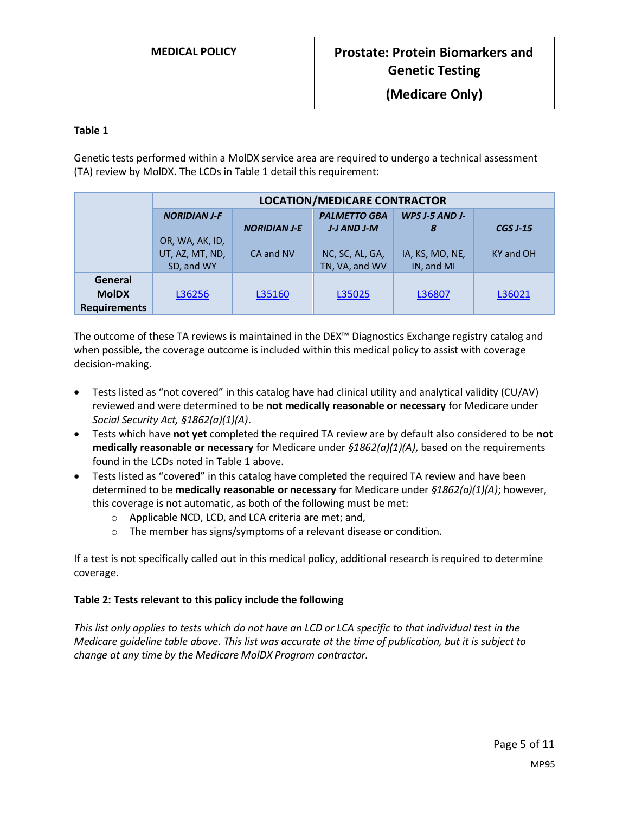#### **Table 1**

Genetic tests performed within a MolDX service area are required to undergo a technical assessment (TA) review by MolDX. The LCDs in Table 1 detail this requirement:

|                                                | <b>LOCATION/MEDICARE CONTRACTOR</b>              |                                  |                                                  |                                    |                              |
|------------------------------------------------|--------------------------------------------------|----------------------------------|--------------------------------------------------|------------------------------------|------------------------------|
|                                                | <b>NORIDIAN J-F</b>                              |                                  | <b>PALMETTO GBA</b>                              | WPS J-5 AND J-                     |                              |
|                                                | OR, WA, AK, ID,<br>UT, AZ, MT, ND,<br>SD, and WY | <b>NORIDIAN J-E</b><br>CA and NV | J-J AND J-M<br>NC, SC, AL, GA,<br>TN, VA, and WV | 8<br>IA, KS, MO, NE,<br>IN, and MI | <b>CGS J-15</b><br>KY and OH |
| General<br><b>MoIDX</b><br><b>Requirements</b> | L36256                                           | L35160                           | L35025                                           | L36807                             | L36021                       |

The outcome of these TA reviews is maintained in the DEX™ Diagnostics Exchange registry catalog and when possible, the coverage outcome is included within this medical policy to assist with coverage decision-making.

- Tests listed as "not covered" in this catalog have had clinical utility and analytical validity (CU/AV) reviewed and were determined to be **not medically reasonable or necessary** for Medicare under *Social Security Act, §1862(a)(1)(A)*.
- Tests which have **not yet** completed the required TA review are by default also considered to be **not medically reasonable or necessary** for Medicare under *§1862(a)(1)(A)*, based on the requirements found in the LCDs noted in Table 1 above.
- Tests listed as "covered" in this catalog have completed the required TA review and have been determined to be **medically reasonable or necessary** for Medicare under *§1862(a)(1)(A)*; however, this coverage is not automatic, as both of the following must be met:
	- o Applicable NCD, LCD, and LCA criteria are met; and,
	- o The member has signs/symptoms of a relevant disease or condition.

If a test is not specifically called out in this medical policy, additional research is required to determine coverage.

### **Table 2: Tests relevant to this policy include the following**

*This list only applies to tests which do not have an LCD or LCA specific to that individual test in the Medicare guideline table above. This list was accurate at the time of publication, but it is subject to change at any time by the Medicare MolDX Program contractor.*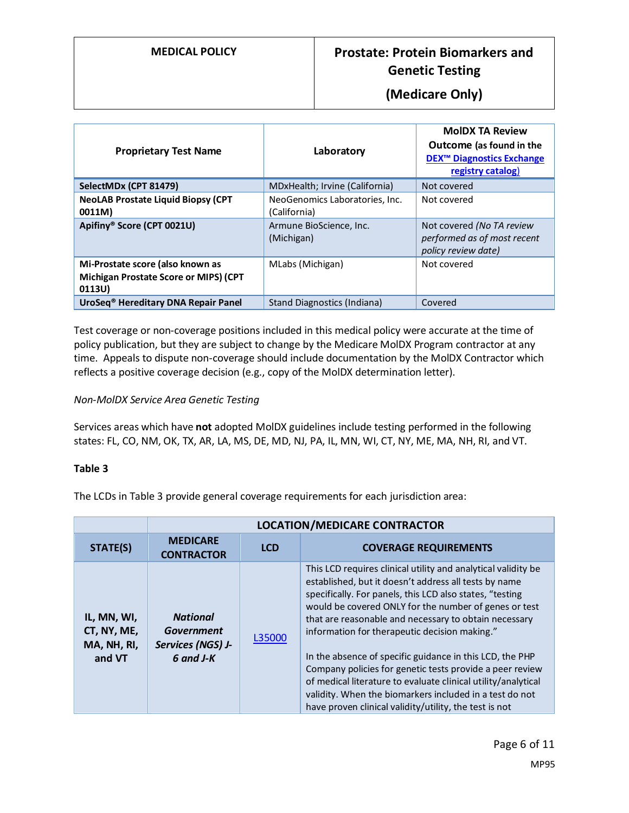## **(Medicare Only)**

| <b>Proprietary Test Name</b>                                                               | Laboratory                                     | <b>MoIDX TA Review</b><br><b>Outcome</b> (as found in the<br><b>DEX<sup>™</sup> Diagnostics Exchange</b><br>registry catalog) |
|--------------------------------------------------------------------------------------------|------------------------------------------------|-------------------------------------------------------------------------------------------------------------------------------|
| SelectMDx (CPT 81479)                                                                      | MDxHealth; Irvine (California)                 | Not covered                                                                                                                   |
| <b>NeoLAB Prostate Liquid Biopsy (CPT</b><br>0011M)                                        | NeoGenomics Laboratories, Inc.<br>(California) | Not covered                                                                                                                   |
| Apifiny® Score (CPT 0021U)                                                                 | Armune BioScience, Inc.<br>(Michigan)          | Not covered (No TA review<br>performed as of most recent<br>policy review date)                                               |
| Mi-Prostate score (also known as<br><b>Michigan Prostate Score or MIPS) (CPT</b><br>0113U) | MLabs (Michigan)                               | Not covered                                                                                                                   |
| UroSeq <sup>®</sup> Hereditary DNA Repair Panel                                            | Stand Diagnostics (Indiana)                    | Covered                                                                                                                       |

Test coverage or non-coverage positions included in this medical policy were accurate at the time of policy publication, but they are subject to change by the Medicare MolDX Program contractor at any time. Appeals to dispute non-coverage should include documentation by the MolDX Contractor which reflects a positive coverage decision (e.g., copy of the MolDX determination letter).

#### *Non-MolDX Service Area Genetic Testing*

Services areas which have **not** adopted MolDX guidelines include testing performed in the following states: FL, CO, NM, OK, TX, AR, LA, MS, DE, MD, NJ, PA, IL, MN, WI, CT, NY, ME, MA, NH, RI, and VT.

#### **Table 3**

The LCDs in Table 3 provide general coverage requirements for each jurisdiction area:

|                                                     | <b>LOCATION/MEDICARE CONTRACTOR</b>                             |            |                                                                                                                                                                                                                                                                                                                                                                                                                                                                                                                                                                                                                                                                     |
|-----------------------------------------------------|-----------------------------------------------------------------|------------|---------------------------------------------------------------------------------------------------------------------------------------------------------------------------------------------------------------------------------------------------------------------------------------------------------------------------------------------------------------------------------------------------------------------------------------------------------------------------------------------------------------------------------------------------------------------------------------------------------------------------------------------------------------------|
| STATE(S)                                            | <b>MEDICARE</b><br><b>CONTRACTOR</b>                            | <b>LCD</b> | <b>COVERAGE REQUIREMENTS</b>                                                                                                                                                                                                                                                                                                                                                                                                                                                                                                                                                                                                                                        |
| IL, MN, WI,<br>CT, NY, ME,<br>MA, NH, RI,<br>and VT | <b>National</b><br>Government<br>Services (NGS) J-<br>6 and J-K | L35000     | This LCD requires clinical utility and analytical validity be<br>established, but it doesn't address all tests by name<br>specifically. For panels, this LCD also states, "testing<br>would be covered ONLY for the number of genes or test<br>that are reasonable and necessary to obtain necessary<br>information for therapeutic decision making."<br>In the absence of specific guidance in this LCD, the PHP<br>Company policies for genetic tests provide a peer review<br>of medical literature to evaluate clinical utility/analytical<br>validity. When the biomarkers included in a test do not<br>have proven clinical validity/utility, the test is not |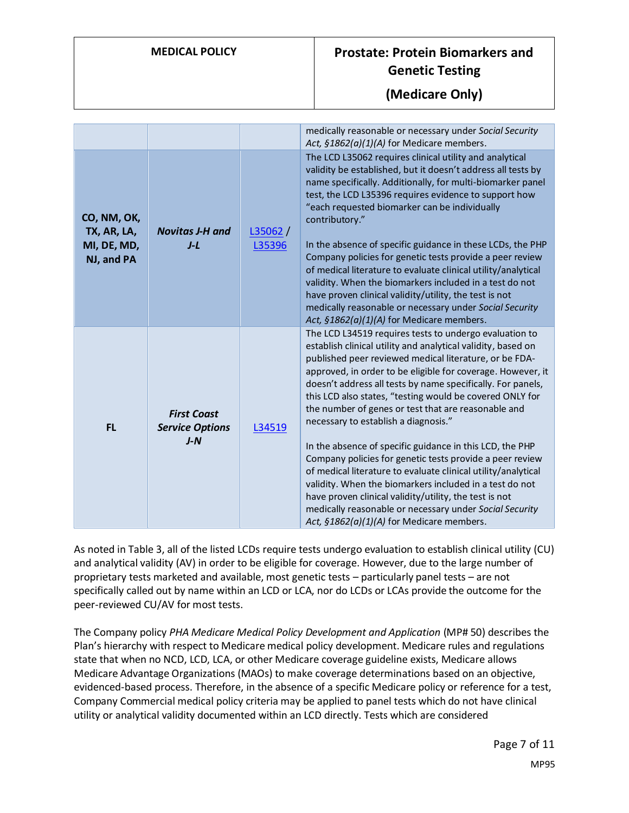## **(Medicare Only)**

|                                                         |                                                       |                   | medically reasonable or necessary under Social Security<br>Act, §1862(a)(1)(A) for Medicare members.                                                                                                                                                                                                                                                                                                                                                                                                                                                                                                                                                                                                                                                                                                                                                                                            |
|---------------------------------------------------------|-------------------------------------------------------|-------------------|-------------------------------------------------------------------------------------------------------------------------------------------------------------------------------------------------------------------------------------------------------------------------------------------------------------------------------------------------------------------------------------------------------------------------------------------------------------------------------------------------------------------------------------------------------------------------------------------------------------------------------------------------------------------------------------------------------------------------------------------------------------------------------------------------------------------------------------------------------------------------------------------------|
| CO, NM, OK,<br>TX, AR, LA,<br>MI, DE, MD,<br>NJ, and PA | <b>Novitas J-H and</b><br>$J-L$                       | L35062/<br>L35396 | The LCD L35062 requires clinical utility and analytical<br>validity be established, but it doesn't address all tests by<br>name specifically. Additionally, for multi-biomarker panel<br>test, the LCD L35396 requires evidence to support how<br>"each requested biomarker can be individually<br>contributory."<br>In the absence of specific guidance in these LCDs, the PHP<br>Company policies for genetic tests provide a peer review<br>of medical literature to evaluate clinical utility/analytical<br>validity. When the biomarkers included in a test do not<br>have proven clinical validity/utility, the test is not<br>medically reasonable or necessary under Social Security<br>Act, §1862(a)(1)(A) for Medicare members.                                                                                                                                                       |
| <b>FL</b>                                               | <b>First Coast</b><br><b>Service Options</b><br>$J-N$ | L34519            | The LCD L34519 requires tests to undergo evaluation to<br>establish clinical utility and analytical validity, based on<br>published peer reviewed medical literature, or be FDA-<br>approved, in order to be eligible for coverage. However, it<br>doesn't address all tests by name specifically. For panels,<br>this LCD also states, "testing would be covered ONLY for<br>the number of genes or test that are reasonable and<br>necessary to establish a diagnosis."<br>In the absence of specific guidance in this LCD, the PHP<br>Company policies for genetic tests provide a peer review<br>of medical literature to evaluate clinical utility/analytical<br>validity. When the biomarkers included in a test do not<br>have proven clinical validity/utility, the test is not<br>medically reasonable or necessary under Social Security<br>Act, §1862(a)(1)(A) for Medicare members. |

As noted in Table 3, all of the listed LCDs require tests undergo evaluation to establish clinical utility (CU) and analytical validity (AV) in order to be eligible for coverage. However, due to the large number of proprietary tests marketed and available, most genetic tests – particularly panel tests – are not specifically called out by name within an LCD or LCA, nor do LCDs or LCAs provide the outcome for the peer-reviewed CU/AV for most tests.

The Company policy *PHA Medicare Medical Policy Development and Application* (MP# 50) describes the Plan's hierarchy with respect to Medicare medical policy development. Medicare rules and regulations state that when no NCD, LCD, LCA, or other Medicare coverage guideline exists, Medicare allows Medicare Advantage Organizations (MAOs) to make coverage determinations based on an objective, evidenced-based process. Therefore, in the absence of a specific Medicare policy or reference for a test, Company Commercial medical policy criteria may be applied to panel tests which do not have clinical utility or analytical validity documented within an LCD directly. Tests which are considered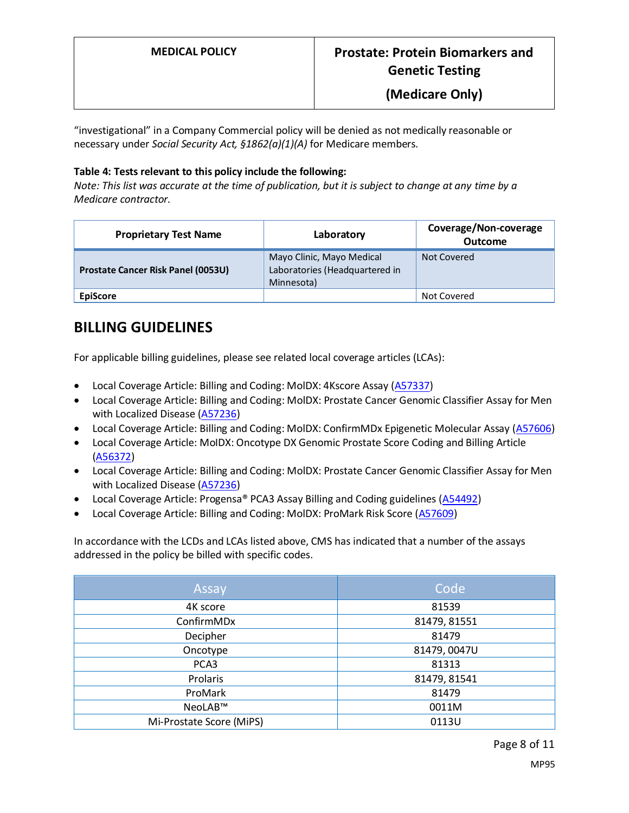"investigational" in a Company Commercial policy will be denied as not medically reasonable or necessary under *Social Security Act, §1862(a)(1)(A)* for Medicare members*.*

#### **Table 4: Tests relevant to this policy include the following:**

*Note: This list was accurate at the time of publication, but it is subject to change at any time by a Medicare contractor.*

| <b>Proprietary Test Name</b>              | Laboratory                                                                | Coverage/Non-coverage<br>Outcome |
|-------------------------------------------|---------------------------------------------------------------------------|----------------------------------|
| <b>Prostate Cancer Risk Panel (0053U)</b> | Mayo Clinic, Mayo Medical<br>Laboratories (Headquartered in<br>Minnesota) | Not Covered                      |
| <b>EpiScore</b>                           |                                                                           | Not Covered                      |

## **BILLING GUIDELINES**

For applicable billing guidelines, please see related local coverage articles (LCAs):

- Local Coverage Article: Billing and Coding: MolDX: 4Kscore Assay [\(A57337\)](https://www.cms.gov/medicare-coverage-database/details/article-details.aspx?articleId=57337)
- Local Coverage Article: Billing and Coding: MolDX: Prostate Cancer Genomic Classifier Assay for Men with Localized Disease [\(A57236\)](https://www.cms.gov/medicare-coverage-database/details/article-details.aspx?articleId=57236)
- Local Coverage Article: Billing and Coding: MolDX: ConfirmMDx Epigenetic Molecular Assay [\(A57606\)](https://www.cms.gov/medicare-coverage-database/details/article-details.aspx?articleId=57606)
- Local Coverage Article: MoIDX: Oncotype DX Genomic Prostate Score Coding and Billing Article [\(A56372\)](https://www.cms.gov/medicare-coverage-database/details/article-details.aspx?articleId=56372)
- Local Coverage Article: Billing and Coding: MolDX: Prostate Cancer Genomic Classifier Assay for Men with Localized Disease [\(A57236\)](https://www.cms.gov/medicare-coverage-database/details/article-details.aspx?articleId=57236)
- Local Coverage Article: Progensa® PCA3 Assay Billing and Coding guidelines [\(A54492\)](https://www.cms.gov/medicare-coverage-database/details/article-details.aspx?articleId=54492)
- Local Coverage Article: Billing and Coding: MoIDX: ProMark Risk Score [\(A57609\)](https://www.cms.gov/medicare-coverage-database/details/article-details.aspx?articleId=57609)

In accordance with the LCDs and LCAs listed above, CMS has indicated that a number of the assays addressed in the policy be billed with specific codes.

| Assay                    | Code         |
|--------------------------|--------------|
| 4K score                 | 81539        |
| ConfirmMDx               | 81479, 81551 |
| Decipher                 | 81479        |
| Oncotype                 | 81479,0047U  |
| PCA3                     | 81313        |
| Prolaris                 | 81479, 81541 |
| ProMark                  | 81479        |
| NeoLAB™                  | 0011M        |
| Mi-Prostate Score (MiPS) | 0113U        |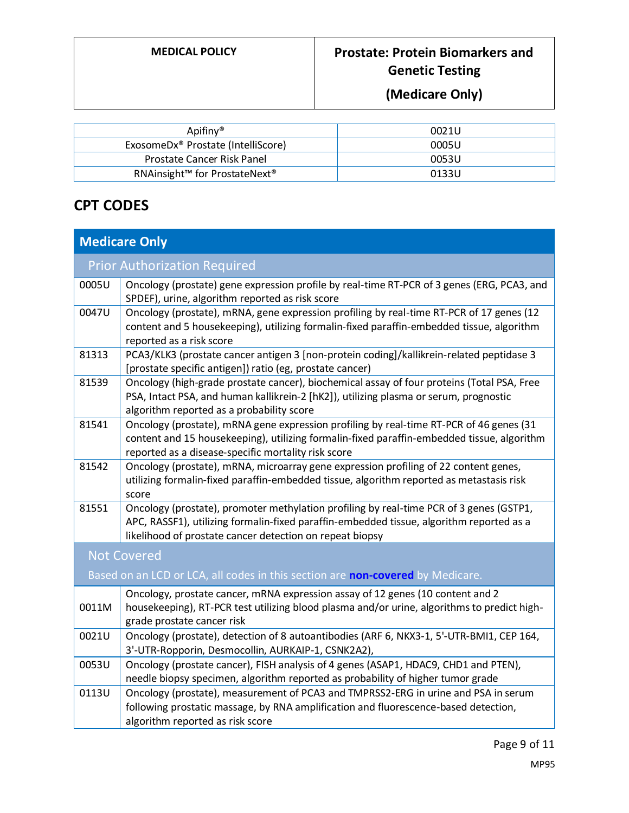| Apifiny <sup>®</sup>                           | 0021U |
|------------------------------------------------|-------|
| ExosomeDx <sup>®</sup> Prostate (IntelliScore) | 0005U |
| <b>Prostate Cancer Risk Panel</b>              | 0053U |
| RNAinsight™ for ProstateNext <sup>®</sup>      | 0133U |

## **CPT CODES**

| <b>Medicare Only</b>                                                           |                                                                                                                                                                                                                                                 |  |
|--------------------------------------------------------------------------------|-------------------------------------------------------------------------------------------------------------------------------------------------------------------------------------------------------------------------------------------------|--|
| <b>Prior Authorization Required</b>                                            |                                                                                                                                                                                                                                                 |  |
| 0005U                                                                          | Oncology (prostate) gene expression profile by real-time RT-PCR of 3 genes (ERG, PCA3, and<br>SPDEF), urine, algorithm reported as risk score                                                                                                   |  |
| 0047U                                                                          | Oncology (prostate), mRNA, gene expression profiling by real-time RT-PCR of 17 genes (12<br>content and 5 housekeeping), utilizing formalin-fixed paraffin-embedded tissue, algorithm<br>reported as a risk score                               |  |
| 81313                                                                          | PCA3/KLK3 (prostate cancer antigen 3 [non-protein coding]/kallikrein-related peptidase 3<br>[prostate specific antigen]) ratio (eg, prostate cancer)                                                                                            |  |
| 81539                                                                          | Oncology (high-grade prostate cancer), biochemical assay of four proteins (Total PSA, Free<br>PSA, Intact PSA, and human kallikrein-2 [hK2]), utilizing plasma or serum, prognostic<br>algorithm reported as a probability score                |  |
| 81541                                                                          | Oncology (prostate), mRNA gene expression profiling by real-time RT-PCR of 46 genes (31<br>content and 15 housekeeping), utilizing formalin-fixed paraffin-embedded tissue, algorithm<br>reported as a disease-specific mortality risk score    |  |
| 81542                                                                          | Oncology (prostate), mRNA, microarray gene expression profiling of 22 content genes,<br>utilizing formalin-fixed paraffin-embedded tissue, algorithm reported as metastasis risk<br>score                                                       |  |
| 81551                                                                          | Oncology (prostate), promoter methylation profiling by real-time PCR of 3 genes (GSTP1,<br>APC, RASSF1), utilizing formalin-fixed paraffin-embedded tissue, algorithm reported as a<br>likelihood of prostate cancer detection on repeat biopsy |  |
| <b>Not Covered</b>                                                             |                                                                                                                                                                                                                                                 |  |
| Based on an LCD or LCA, all codes in this section are non-covered by Medicare. |                                                                                                                                                                                                                                                 |  |
| 0011M                                                                          | Oncology, prostate cancer, mRNA expression assay of 12 genes (10 content and 2<br>housekeeping), RT-PCR test utilizing blood plasma and/or urine, algorithms to predict high-<br>grade prostate cancer risk                                     |  |
| 0021U                                                                          | Oncology (prostate), detection of 8 autoantibodies (ARF 6, NKX3-1, 5'-UTR-BMI1, CEP 164,<br>3'-UTR-Ropporin, Desmocollin, AURKAIP-1, CSNK2A2),                                                                                                  |  |
| 0053U                                                                          | Oncology (prostate cancer), FISH analysis of 4 genes (ASAP1, HDAC9, CHD1 and PTEN),<br>needle biopsy specimen, algorithm reported as probability of higher tumor grade                                                                          |  |
| 0113U                                                                          | Oncology (prostate), measurement of PCA3 and TMPRSS2-ERG in urine and PSA in serum<br>following prostatic massage, by RNA amplification and fluorescence-based detection,<br>algorithm reported as risk score                                   |  |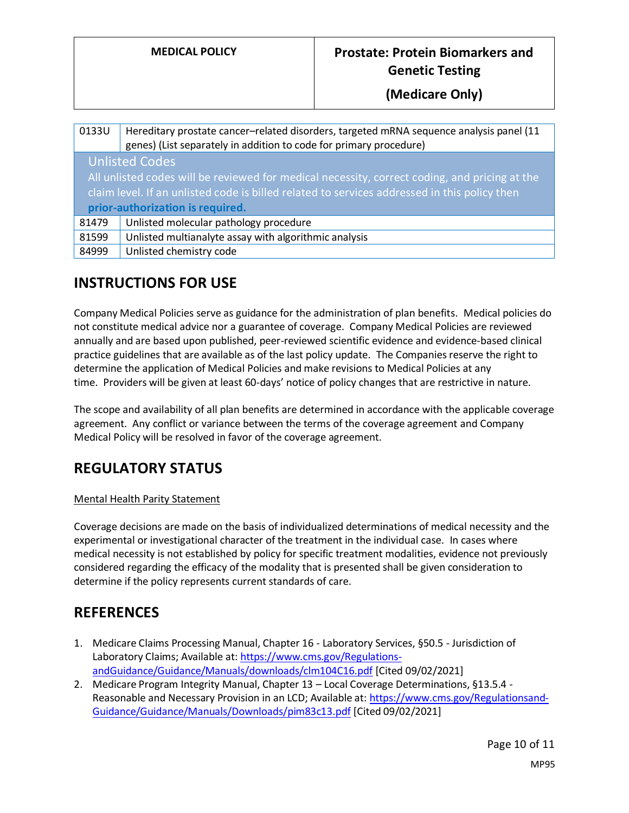| 0133U                                                                                         | Hereditary prostate cancer-related disorders, targeted mRNA sequence analysis panel (11 |
|-----------------------------------------------------------------------------------------------|-----------------------------------------------------------------------------------------|
|                                                                                               | genes) (List separately in addition to code for primary procedure)                      |
| <b>Unlisted Codes</b>                                                                         |                                                                                         |
| All unlisted codes will be reviewed for medical necessity, correct coding, and pricing at the |                                                                                         |
| claim level. If an unlisted code is billed related to services addressed in this policy then  |                                                                                         |
| prior-authorization is required.                                                              |                                                                                         |
| 81479                                                                                         | Unlisted molecular pathology procedure                                                  |
| 81599                                                                                         | Unlisted multianalyte assay with algorithmic analysis                                   |
| 84999                                                                                         | Unlisted chemistry code                                                                 |

# **INSTRUCTIONS FOR USE**

Company Medical Policies serve as guidance for the administration of plan benefits. Medical policies do not constitute medical advice nor a guarantee of coverage. Company Medical Policies are reviewed annually and are based upon published, peer-reviewed scientific evidence and evidence-based clinical practice guidelines that are available as of the last policy update. The Companies reserve the right to determine the application of Medical Policies and make revisions to Medical Policies at any time. Providers will be given at least 60-days' notice of policy changes that are restrictive in nature.

The scope and availability of all plan benefits are determined in accordance with the applicable coverage agreement. Any conflict or variance between the terms of the coverage agreement and Company Medical Policy will be resolved in favor of the coverage agreement.

# **REGULATORY STATUS**

### Mental Health Parity Statement

Coverage decisions are made on the basis of individualized determinations of medical necessity and the experimental or investigational character of the treatment in the individual case. In cases where medical necessity is not established by policy for specific treatment modalities, evidence not previously considered regarding the efficacy of the modality that is presented shall be given consideration to determine if the policy represents current standards of care.

## **REFERENCES**

- 1. Medicare Claims Processing Manual, Chapter 16 Laboratory Services, §50.5 Jurisdiction of Laboratory Claims; Available at[: https://www.cms.gov/Regulations](https://www.cms.gov/Regulations-andGuidance/Guidance/Manuals/downloads/clm104C16.pdf)[andGuidance/Guidance/Manuals/downloads/clm104C16.pdf](https://www.cms.gov/Regulations-andGuidance/Guidance/Manuals/downloads/clm104C16.pdf) [Cited 09/02/2021]
- 2. Medicare Program Integrity Manual, Chapter 13 Local Coverage Determinations, §13.5.4 Reasonable and Necessary Provision in an LCD; Available at[: https://www.cms.gov/Regulationsand-](https://www.cms.gov/Regulationsand-Guidance/Guidance/Manuals/Downloads/pim83c13.pdf)[Guidance/Guidance/Manuals/Downloads/pim83c13.pdf](https://www.cms.gov/Regulationsand-Guidance/Guidance/Manuals/Downloads/pim83c13.pdf) [Cited 09/02/2021]